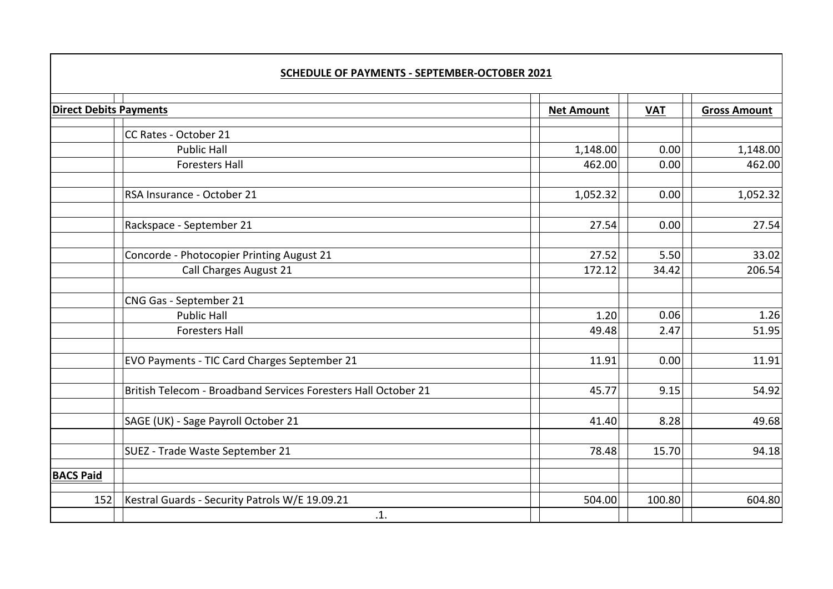| <b>Direct Debits Payments</b> |                                                                | <b>Net Amount</b> | <b>VAT</b> | <b>Gross Amount</b> |
|-------------------------------|----------------------------------------------------------------|-------------------|------------|---------------------|
|                               | CC Rates - October 21                                          |                   |            |                     |
|                               | <b>Public Hall</b>                                             | 1,148.00          | 0.00       | 1,148.00            |
|                               | <b>Foresters Hall</b>                                          | 462.00            | 0.00       | 462.00              |
|                               | RSA Insurance - October 21                                     | 1,052.32          | 0.00       | 1,052.32            |
|                               | Rackspace - September 21                                       | 27.54             | 0.00       | 27.54               |
|                               | Concorde - Photocopier Printing August 21                      | 27.52             | 5.50       | 33.02               |
|                               | Call Charges August 21                                         | 172.12            | 34.42      | 206.54              |
|                               | CNG Gas - September 21                                         |                   |            |                     |
|                               | <b>Public Hall</b>                                             | 1.20              | 0.06       | 1.26                |
|                               | <b>Foresters Hall</b>                                          | 49.48             | 2.47       | 51.95               |
|                               | EVO Payments - TIC Card Charges September 21                   | 11.91             | 0.00       | 11.91               |
|                               | British Telecom - Broadband Services Foresters Hall October 21 | 45.77             | 9.15       | 54.92               |
|                               | SAGE (UK) - Sage Payroll October 21                            | 41.40             | 8.28       | 49.68               |
|                               | SUEZ - Trade Waste September 21                                | 78.48             | 15.70      | 94.18               |
| <b>BACS Paid</b>              |                                                                |                   |            |                     |
| 152                           | Kestral Guards - Security Patrols W/E 19.09.21                 | 504.00            | 100.80     | 604.80              |
|                               | .1.                                                            |                   |            |                     |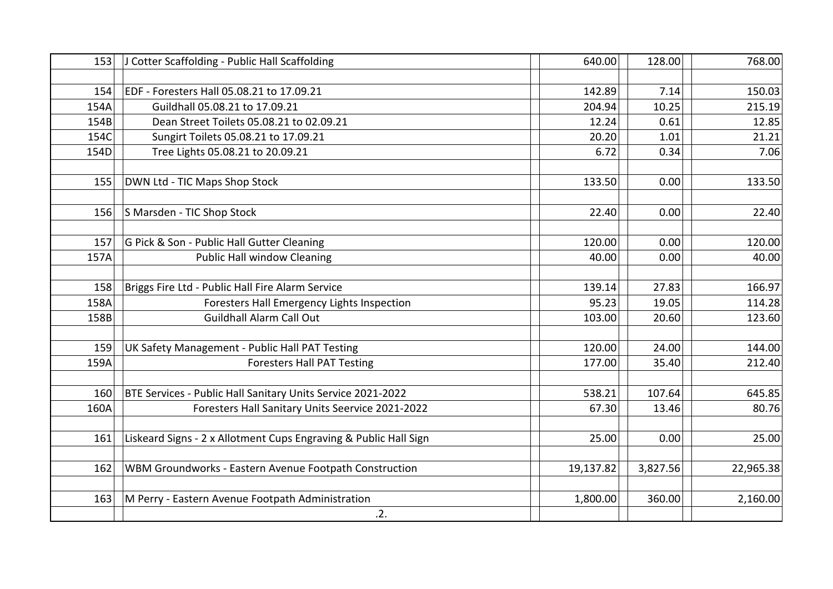| 153  | J Cotter Scaffolding - Public Hall Scaffolding                   | 640.00    | 128.00   | 768.00    |
|------|------------------------------------------------------------------|-----------|----------|-----------|
|      |                                                                  |           |          |           |
| 154  | EDF - Foresters Hall 05.08.21 to 17.09.21                        | 142.89    | 7.14     | 150.03    |
| 154A | Guildhall 05.08.21 to 17.09.21                                   | 204.94    | 10.25    | 215.19    |
| 154B | Dean Street Toilets 05.08.21 to 02.09.21                         | 12.24     | 0.61     | 12.85     |
| 154C | Sungirt Toilets 05.08.21 to 17.09.21                             | 20.20     | 1.01     | 21.21     |
| 154D | Tree Lights 05.08.21 to 20.09.21                                 | 6.72      | 0.34     | 7.06      |
|      |                                                                  |           |          |           |
| 155  | DWN Ltd - TIC Maps Shop Stock                                    | 133.50    | 0.00     | 133.50    |
|      |                                                                  |           |          |           |
| 156  | S Marsden - TIC Shop Stock                                       | 22.40     | 0.00     | 22.40     |
|      |                                                                  |           |          |           |
| 157  | G Pick & Son - Public Hall Gutter Cleaning                       | 120.00    | 0.00     | 120.00    |
| 157A | <b>Public Hall window Cleaning</b>                               | 40.00     | 0.00     | 40.00     |
|      |                                                                  |           |          |           |
| 158  | Briggs Fire Ltd - Public Hall Fire Alarm Service                 | 139.14    | 27.83    | 166.97    |
| 158A | Foresters Hall Emergency Lights Inspection                       | 95.23     | 19.05    | 114.28    |
| 158B | <b>Guildhall Alarm Call Out</b>                                  | 103.00    | 20.60    | 123.60    |
|      |                                                                  |           |          |           |
| 159  | UK Safety Management - Public Hall PAT Testing                   | 120.00    | 24.00    | 144.00    |
| 159A | <b>Foresters Hall PAT Testing</b>                                | 177.00    | 35.40    | 212.40    |
|      |                                                                  |           |          |           |
| 160  | BTE Services - Public Hall Sanitary Units Service 2021-2022      | 538.21    | 107.64   | 645.85    |
| 160A | Foresters Hall Sanitary Units Seervice 2021-2022                 | 67.30     | 13.46    | 80.76     |
|      |                                                                  |           |          |           |
| 161  | Liskeard Signs - 2 x Allotment Cups Engraving & Public Hall Sign | 25.00     | 0.00     | 25.00     |
|      |                                                                  |           |          |           |
| 162  | WBM Groundworks - Eastern Avenue Footpath Construction           | 19,137.82 | 3,827.56 | 22,965.38 |
|      |                                                                  |           |          |           |
| 163  | M Perry - Eastern Avenue Footpath Administration                 | 1,800.00  | 360.00   | 2,160.00  |
|      | .2.                                                              |           |          |           |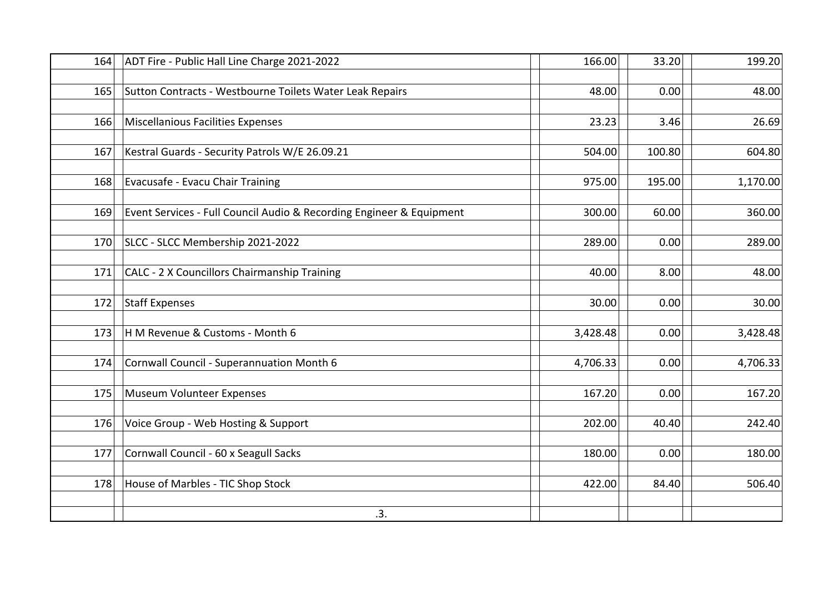| 164 | ADT Fire - Public Hall Line Charge 2021-2022                         | 166.00   | 33.20  | 199.20   |
|-----|----------------------------------------------------------------------|----------|--------|----------|
|     |                                                                      |          |        |          |
| 165 | Sutton Contracts - Westbourne Toilets Water Leak Repairs             | 48.00    | 0.00   | 48.00    |
|     |                                                                      |          |        |          |
| 166 | Miscellanious Facilities Expenses                                    | 23.23    | 3.46   | 26.69    |
|     |                                                                      |          |        |          |
| 167 | Kestral Guards - Security Patrols W/E 26.09.21                       | 504.00   | 100.80 | 604.80   |
| 168 | Evacusafe - Evacu Chair Training                                     | 975.00   | 195.00 | 1,170.00 |
|     |                                                                      |          |        |          |
| 169 | Event Services - Full Council Audio & Recording Engineer & Equipment | 300.00   | 60.00  | 360.00   |
|     |                                                                      |          |        |          |
| 170 | SLCC - SLCC Membership 2021-2022                                     | 289.00   | 0.00   | 289.00   |
|     |                                                                      |          |        |          |
| 171 | CALC - 2 X Councillors Chairmanship Training                         | 40.00    | 8.00   | 48.00    |
|     |                                                                      |          |        |          |
| 172 | Staff Expenses                                                       | 30.00    | 0.00   | 30.00    |
|     |                                                                      |          |        |          |
| 173 | H M Revenue & Customs - Month 6                                      | 3,428.48 | 0.00   | 3,428.48 |
| 174 | Cornwall Council - Superannuation Month 6                            | 4,706.33 | 0.00   | 4,706.33 |
|     |                                                                      |          |        |          |
| 175 | Museum Volunteer Expenses                                            | 167.20   | 0.00   | 167.20   |
|     |                                                                      |          |        |          |
| 176 | Voice Group - Web Hosting & Support                                  | 202.00   | 40.40  | 242.40   |
|     |                                                                      |          |        |          |
| 177 | Cornwall Council - 60 x Seagull Sacks                                | 180.00   | 0.00   | 180.00   |
|     |                                                                      |          |        |          |
| 178 | House of Marbles - TIC Shop Stock                                    | 422.00   | 84.40  | 506.40   |
|     |                                                                      |          |        |          |
|     | .3.                                                                  |          |        |          |